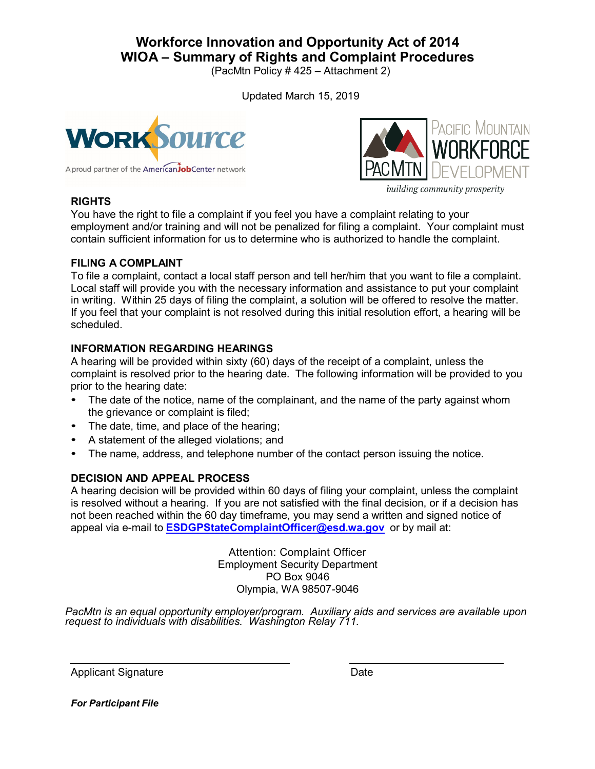# **Workforce Innovation and Opportunity Act of 2014 WIOA – Summary of Rights and Complaint Procedures**

(PacMtn Policy # 425 – Attachment 2)

Updated March 15, 2019





**RIGHTS**

building community prosperity

You have the right to file a complaint if you feel you have a complaint relating to your employment and/or training and will not be penalized for filing a complaint. Your complaint must contain sufficient information for us to determine who is authorized to handle the complaint.

### **FILING A COMPLAINT**

To file a complaint, contact a local staff person and tell her/him that you want to file a complaint. Local staff will provide you with the necessary information and assistance to put your complaint in writing. Within 25 days of filing the complaint, a solution will be offered to resolve the matter. If you feel that your complaint is not resolved during this initial resolution effort, a hearing will be scheduled.

## **INFORMATION REGARDING HEARINGS**

A hearing will be provided within sixty (60) days of the receipt of a complaint, unless the complaint is resolved prior to the hearing date. The following information will be provided to you prior to the hearing date:

- The date of the notice, name of the complainant, and the name of the party against whom the grievance or complaint is filed;
- The date, time, and place of the hearing;
- A statement of the alleged violations; and
- The name, address, and telephone number of the contact person issuing the notice.

## **DECISION AND APPEAL PROCESS**

A hearing decision will be provided within 60 days of filing your complaint, unless the complaint is resolved without a hearing. If you are not satisfied with the final decision, or if a decision has not been reached within the 60 day timeframe, you may send a written and signed notice of appeal via e-mail to **[ESDGPStateComplaintOfficer@esd.wa.gov](mailto:ESDGPStateComplaintOfficer@esd.wa.gov)** or by mail at:

> Attention: Complaint Officer Employment Security Department PO Box 9046 Olympia, WA 98507*-*9046

*PacMtn is an equal opportunity employer/program. Auxiliary aids and services are available upon request to individuals with disabilities. Washington Relay 711.*

Applicant Signature Date

*For Participant File*